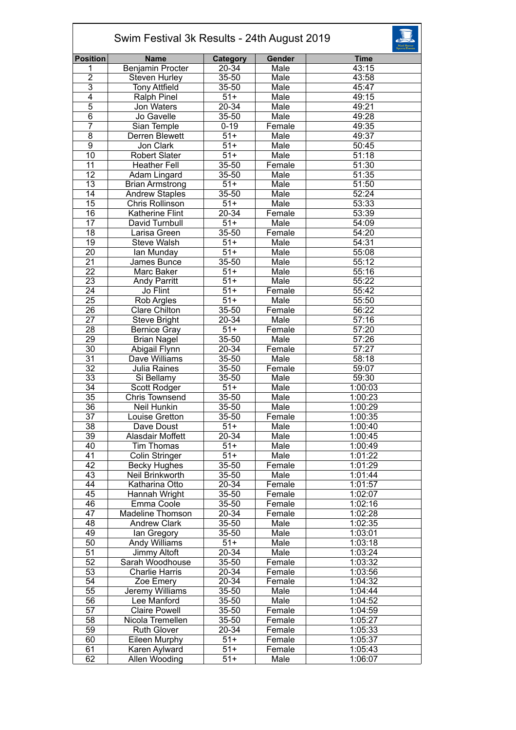| Swim Festival 3k Results - 24th August 2019 |                         |                   |        |             |  |  |
|---------------------------------------------|-------------------------|-------------------|--------|-------------|--|--|
| <b>Position</b>                             | <b>Name</b>             | Category          | Gender | <b>Time</b> |  |  |
| 1                                           | Benjamin Procter        | 20-34             | Male   | 43:15       |  |  |
| $\overline{2}$                              | <b>Steven Hurley</b>    | 35-50             | Male   | 43:58       |  |  |
| $\overline{3}$                              | <b>Tony Attfield</b>    | 35-50             | Male   | 45:47       |  |  |
| $\overline{4}$                              | Ralph Pinel             | $51+$             | Male   | 49:15       |  |  |
| $\overline{5}$                              | Jon Waters              | $20 - 34$         | Male   | 49:21       |  |  |
| 6                                           | Jo Gavelle              | 35-50             | Male   | 49:28       |  |  |
| $\overline{7}$                              | Sian Temple             | $0 - 19$          | Female | 49:35       |  |  |
| 8                                           | Derren Blewett          | $51+$             | Male   | 49:37       |  |  |
| $\overline{9}$                              | Jon Clark               | $\overline{51+}$  | Male   | 50:45       |  |  |
| 10                                          | <b>Robert Slater</b>    | $\overline{51+}$  | Male   | 51:18       |  |  |
| 11                                          | <b>Heather Fell</b>     | $35 - 50$         | Female | 51:30       |  |  |
| 12                                          | Adam Lingard            | 35-50             | Male   | 51:35       |  |  |
| $\overline{13}$                             | <b>Brian Armstrong</b>  | $51+$             | Male   | 51:50       |  |  |
| 14                                          | <b>Andrew Staples</b>   | 35-50             | Male   | 52:24       |  |  |
| $\overline{15}$                             | Chris Rollinson         | $51+$             | Male   | 53:33       |  |  |
| 16                                          | <b>Katherine Flint</b>  | 20-34             | Female | 53:39       |  |  |
| $\overline{17}$                             | David Turnbull          | $51+$             | Male   | 54:09       |  |  |
| $\overline{18}$                             | Larisa Green            | $35 - 50$         | Female | 54:20       |  |  |
| $\overline{19}$                             | <b>Steve Walsh</b>      | $51+$             | Male   | 54:31       |  |  |
| $\overline{20}$                             | lan Munday              | $\overline{51+}$  | Male   | 55:08       |  |  |
| $\overline{21}$                             | James Bunce             | 35-50             | Male   | 55:12       |  |  |
| 22                                          | Marc Baker              | $51+$             | Male   | 55:16       |  |  |
| 23                                          | Andy Parritt            | $51+$             | Male   | 55:22       |  |  |
| $\overline{24}$                             | Jo Flint                | $\overline{51+}$  | Female | 55:42       |  |  |
| $\overline{25}$                             | Rob Argles              | $\overline{51+}$  | Male   | 55:50       |  |  |
| 26                                          | <b>Clare Chilton</b>    | $35 - 50$         | Female | 56:22       |  |  |
| 27                                          | <b>Steve Bright</b>     | 20-34             | Male   | 57:16       |  |  |
| 28                                          | <b>Bernice Gray</b>     | $\overline{51}$ + | Female | 57:20       |  |  |
| $\overline{29}$                             | <b>Brian Nagel</b>      | 35-50             | Male   | 57:26       |  |  |
| 30                                          | Abigail Flynn           | 20-34             | Female | 57:27       |  |  |
| $\overline{31}$                             | Dave Williams           | 35-50             | Male   | 58:18       |  |  |
| $\overline{32}$                             | Julia Raines            | 35-50             | Female | 59:07       |  |  |
| $\overline{33}$                             | Si Bellamy              | 35-50             | Male   | 59:30       |  |  |
| 34                                          | <b>Scott Rodger</b>     | $51+$             | Male   | 1:00:03     |  |  |
| $\overline{35}$                             | <b>Chris Townsend</b>   | 35-50             | Male   | 1:00:23     |  |  |
| 36                                          | Neil Hunkin             | 35-50             | Male   | 1:00:29     |  |  |
| 37                                          | Louise Gretton          | 35-50             | Female | 1:00:35     |  |  |
| 38                                          | Dave Doust              | $51+$             | Male   | 1:00:40     |  |  |
| 39                                          | Alasdair Moffett        | $20 - 34$         | Male   | 1:00:45     |  |  |
| 40                                          | <b>Tim Thomas</b>       | $51+$             | Male   | 1:00:49     |  |  |
| 41                                          | <b>Colin Stringer</b>   | $51+$             | Male   | 1:01:22     |  |  |
| 42                                          | <b>Becky Hughes</b>     | 35-50             | Female | 1:01:29     |  |  |
| 43                                          | Neil Brinkworth         | 35-50             | Male   | 1:01:44     |  |  |
| 44                                          | Katharina Otto          | 20-34             | Female | 1:01:57     |  |  |
| 45                                          | Hannah Wright           | 35-50             | Female | 1:02:07     |  |  |
| 46                                          | Emma Coole              | 35-50             | Female | 1:02:16     |  |  |
| 47                                          | <b>Madeline Thomson</b> | 20-34             | Female | 1:02:28     |  |  |
| 48                                          | <b>Andrew Clark</b>     | 35-50             | Male   | 1:02:35     |  |  |
| 49                                          | lan Gregory             | 35-50             | Male   | 1:03:01     |  |  |
| 50                                          | Andy Williams           | $51+$             | Male   | 1:03:18     |  |  |
| 51                                          | Jimmy Altoft            | 20-34             | Male   | 1:03:24     |  |  |
| 52                                          | Sarah Woodhouse         | 35-50             | Female | 1:03:32     |  |  |
| 53                                          | <b>Charlie Harris</b>   | 20-34             | Female | 1:03:56     |  |  |
| $\overline{54}$                             | Zoe Emery               | 20-34             | Female | 1:04:32     |  |  |
| $\overline{55}$                             | Jeremy Williams         | 35-50             | Male   | 1:04:44     |  |  |
| 56                                          | Lee Manford             | 35-50             | Male   | 1:04:52     |  |  |
| 57                                          | <b>Claire Powell</b>    | 35-50             | Female | 1:04:59     |  |  |
| 58                                          | Nicola Tremellen        | 35-50             | Female | 1:05:27     |  |  |
| 59                                          | <b>Ruth Glover</b>      | 20-34             | Female | 1:05:33     |  |  |
| 60                                          | Eileen Murphy           | $51+$             | Female | 1:05:37     |  |  |
| 61                                          | Karen Aylward           | $51+$             | Female | 1:05:43     |  |  |
| 62                                          | Allen Wooding           | $51+$             | Male   | 1:06:07     |  |  |